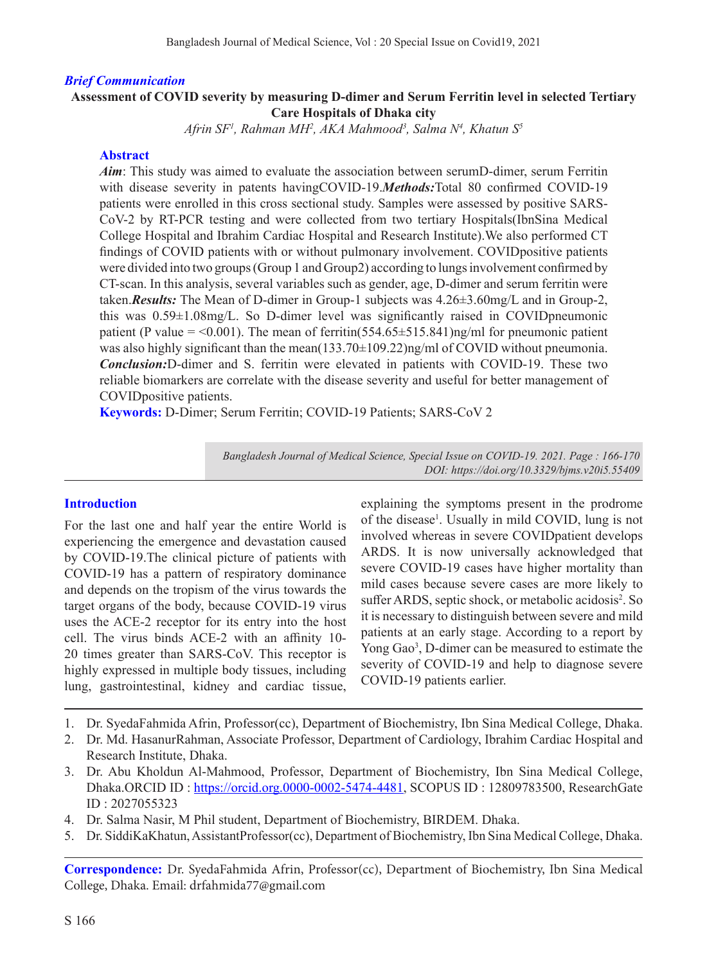### *Brief Communication*

## **Assessment of COVID severity by measuring D-dimer and Serum Ferritin level in selected Tertiary Care Hospitals of Dhaka city**

*Afrin SF1 , Rahman MH2 , AKA Mahmood3 , Salma N4 , Khatun S5*

#### **Abstract**

*Aim*: This study was aimed to evaluate the association between serumD-dimer, serum Ferritin with disease severity in patents havingCOVID-19.*Methods:*Total 80 confirmed COVID-19 patients were enrolled in this cross sectional study. Samples were assessed by positive SARS-CoV-2 by RT-PCR testing and were collected from two tertiary Hospitals(IbnSina Medical College Hospital and Ibrahim Cardiac Hospital and Research Institute).We also performed CT findings of COVID patients with or without pulmonary involvement. COVIDpositive patients were divided into two groups (Group 1 and Group2) according to lungs involvement confirmed by CT-scan. In this analysis, several variables such as gender, age, D-dimer and serum ferritin were taken.*Results:* The Mean of D-dimer in Group-1 subjects was 4.26±3.60mg/L and in Group-2, this was 0.59±1.08mg/L. So D-dimer level was significantly raised in COVIDpneumonic patient (P value = <0.001). The mean of ferritin( $554.65 \pm 515.841$ )ng/ml for pneumonic patient was also highly significant than the mean(133.70±109.22)ng/ml of COVID without pneumonia. *Conclusion:*D-dimer and S. ferritin were elevated in patients with COVID-19. These two reliable biomarkers are correlate with the disease severity and useful for better management of COVIDpositive patients.

**Keywords:** D-Dimer; Serum Ferritin; COVID-19 Patients; SARS-CoV 2

*Bangladesh Journal of Medical Science, Special Issue on COVID-19. 2021. Page : 166-170 DOI: https://doi.org/10.3329/bjms.v20i5.55409* 

#### **Introduction**

For the last one and half year the entire World is experiencing the emergence and devastation caused by COVID-19.The clinical picture of patients with COVID-19 has a pattern of respiratory dominance and depends on the tropism of the virus towards the target organs of the body, because COVID-19 virus uses the ACE-2 receptor for its entry into the host cell. The virus binds ACE-2 with an affinity 10- 20 times greater than SARS-CoV. This receptor is highly expressed in multiple body tissues, including lung, gastrointestinal, kidney and cardiac tissue,

explaining the symptoms present in the prodrome of the disease<sup>1</sup>. Usually in mild COVID, lung is not involved whereas in severe COVIDpatient develops ARDS. It is now universally acknowledged that severe COVID-19 cases have higher mortality than mild cases because severe cases are more likely to suffer ARDS, septic shock, or metabolic acidosis<sup>2</sup>. So it is necessary to distinguish between severe and mild patients at an early stage. According to a report by Yong Gao<sup>3</sup>, D-dimer can be measured to estimate the severity of COVID-19 and help to diagnose severe COVID-19 patients earlier.

- 1. Dr. SyedaFahmida Afrin, Professor(cc), Department of Biochemistry, Ibn Sina Medical College, Dhaka.
- 2. Dr. Md. HasanurRahman, Associate Professor, Department of Cardiology, Ibrahim Cardiac Hospital and Research Institute, Dhaka.
- 3. Dr. Abu Kholdun Al-Mahmood, Professor, Department of Biochemistry, Ibn Sina Medical College, Dhaka.ORCID ID : https://orcid.org.0000-0002-5474-4481, SCOPUS ID : 12809783500, ResearchGate ID : 2027055323
- 4. Dr. Salma Nasir, M Phil student, Department of Biochemistry, BIRDEM. Dhaka.
- 5. Dr. SiddiKaKhatun, AssistantProfessor(cc), Department of Biochemistry, Ibn Sina Medical College, Dhaka.

**Correspondence:** Dr. SyedaFahmida Afrin, Professor(cc), Department of Biochemistry, Ibn Sina Medical College, Dhaka. Email: drfahmida77@gmail.com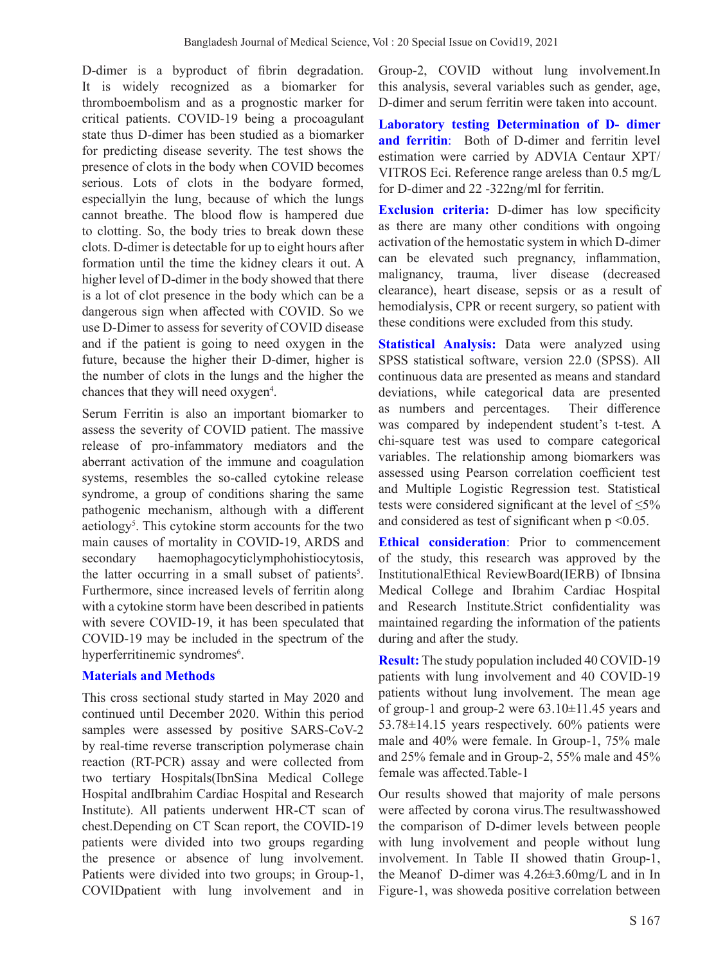D-dimer is a byproduct of fibrin degradation. It is widely recognized as a biomarker for thromboembolism and as a prognostic marker for critical patients. COVID-19 being a procoagulant state thus D-dimer has been studied as a biomarker for predicting disease severity. The test shows the presence of clots in the body when COVID becomes serious. Lots of clots in the bodyare formed, especiallyin the lung, because of which the lungs cannot breathe. The blood flow is hampered due to clotting. So, the body tries to break down these clots. D-dimer is detectable for up to eight hours after formation until the time the kidney clears it out. A higher level of D-dimer in the body showed that there is a lot of clot presence in the body which can be a dangerous sign when affected with COVID. So we use D-Dimer to assess for severity of COVID disease and if the patient is going to need oxygen in the future, because the higher their D-dimer, higher is the number of clots in the lungs and the higher the chances that they will need oxygen<sup>4</sup>.

Serum Ferritin is also an important biomarker to assess the severity of COVID patient. The massive release of pro-infammatory mediators and the aberrant activation of the immune and coagulation systems, resembles the so-called cytokine release syndrome, a group of conditions sharing the same pathogenic mechanism, although with a different aetiology<sup>5</sup>. This cytokine storm accounts for the two main causes of mortality in COVID-19, ARDS and secondary haemophagocyticlymphohistiocytosis, the latter occurring in a small subset of patients<sup>5</sup>. Furthermore, since increased levels of ferritin along with a cytokine storm have been described in patients with severe COVID-19, it has been speculated that COVID-19 may be included in the spectrum of the hyperferritinemic syndromes<sup>6</sup>.

## **Materials and Methods**

This cross sectional study started in May 2020 and continued until December 2020. Within this period samples were assessed by positive SARS-CoV-2 by real-time reverse transcription polymerase chain reaction (RT-PCR) assay and were collected from two tertiary Hospitals(IbnSina Medical College Hospital andIbrahim Cardiac Hospital and Research Institute). All patients underwent HR-CT scan of chest.Depending on CT Scan report, the COVID-19 patients were divided into two groups regarding the presence or absence of lung involvement. Patients were divided into two groups; in Group-1, COVIDpatient with lung involvement and in

Group-2, COVID without lung involvement.In this analysis, several variables such as gender, age, D-dimer and serum ferritin were taken into account.

**Laboratory testing Determination of D- dimer and ferritin**: Both of D-dimer and ferritin level estimation were carried by ADVIA Centaur XPT/ VITROS Eci. Reference range areless than 0.5 mg/L for D-dimer and 22 -322ng/ml for ferritin.

**Exclusion criteria:** D-dimer has low specificity as there are many other conditions with ongoing activation of the hemostatic system in which D-dimer can be elevated such pregnancy, inflammation, malignancy, trauma, liver disease (decreased clearance), heart disease, sepsis or as a result of hemodialysis, CPR or recent surgery, so patient with these conditions were excluded from this study.

**Statistical Analysis:** Data were analyzed using SPSS statistical software, version 22.0 (SPSS). All continuous data are presented as means and standard deviations, while categorical data are presented as numbers and percentages. Their difference was compared by independent student's t-test. A chi-square test was used to compare categorical variables. The relationship among biomarkers was assessed using Pearson correlation coefficient test and Multiple Logistic Regression test. Statistical tests were considered significant at the level of  $\leq 5\%$ and considered as test of significant when  $p \le 0.05$ .

**Ethical consideration**: Prior to commencement of the study, this research was approved by the InstitutionalEthical ReviewBoard(IERB) of Ibnsina Medical College and Ibrahim Cardiac Hospital and Research Institute.Strict confidentiality was maintained regarding the information of the patients during and after the study.

**Result:** The study population included 40 COVID-19 patients with lung involvement and 40 COVID-19 patients without lung involvement. The mean age of group-1 and group-2 were  $63.10\pm11.45$  years and 53.78±14.15 years respectively. 60% patients were male and 40% were female. In Group-1, 75% male and 25% female and in Group-2, 55% male and 45% female was affected.Table-1

Our results showed that majority of male persons were affected by corona virus.The resultwasshowed the comparison of D-dimer levels between people with lung involvement and people without lung involvement. In Table II showed thatin Group-1, the Meanof D-dimer was 4.26±3.60mg/L and in In Figure-1, was showeda positive correlation between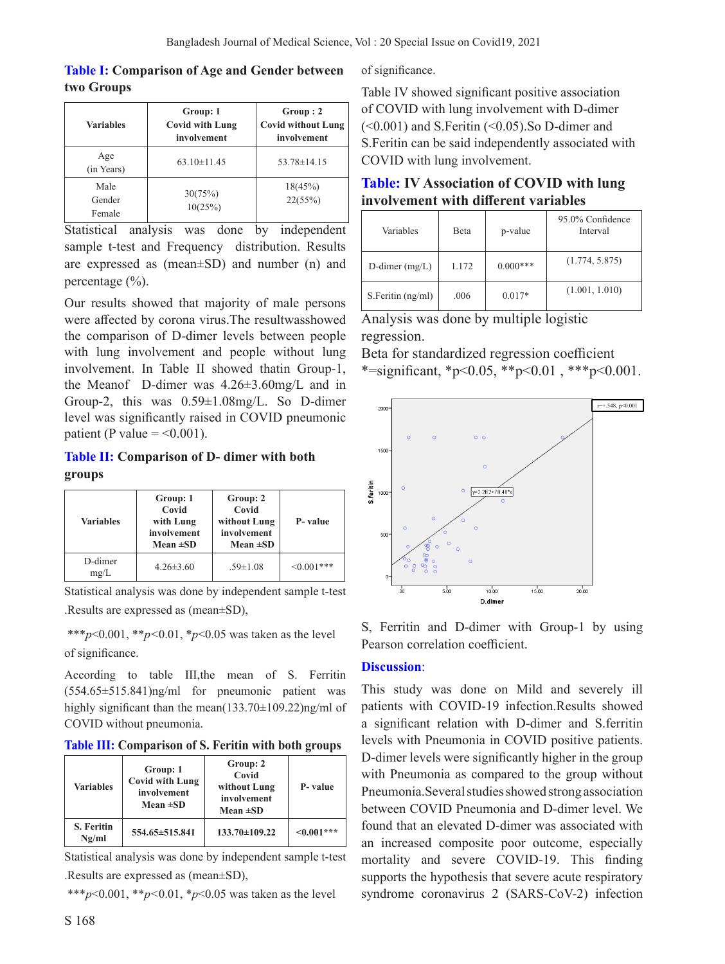## **Table I: Comparison of Age and Gender between two Groups**

| <b>Variables</b>         | Group: 1<br><b>Covid with Lung</b><br>involvement | Group:2<br><b>Covid without Lung</b><br>involvement |  |
|--------------------------|---------------------------------------------------|-----------------------------------------------------|--|
| Age<br>(in Years)        | $63.10 \pm 11.45$                                 | $53.78 \pm 14.15$                                   |  |
| Male<br>Gender<br>Female | 30(75%)<br>10(25%)                                | 18(45%)<br>22(55%)                                  |  |

Statistical analysis was done by independent sample t-test and Frequency distribution. Results are expressed as (mean±SD) and number (n) and percentage (%).

Our results showed that majority of male persons were affected by corona virus.The resultwasshowed the comparison of D-dimer levels between people with lung involvement and people without lung involvement. In Table II showed thatin Group-1, the Meanof D-dimer was 4.26±3.60mg/L and in Group-2, this was 0.59±1.08mg/L. So D-dimer level was significantly raised in COVID pneumonic patient (P value  $=$  <0.001).

## **Table II: Comparison of D- dimer with both groups**

| Group: 1<br>Covid<br>with Lung<br><b>Variables</b><br>involvement<br>Mean $\pm SD$ |                 | Group: 2<br>Covid<br>without Lung<br>involvement<br>Mean $\pm SD$ | P-value          |
|------------------------------------------------------------------------------------|-----------------|-------------------------------------------------------------------|------------------|
| D-dimer<br>mg/L                                                                    | $4.26 \pm 3.60$ | $.59 \pm 1.08$                                                    | $\leq 0.001$ *** |

Statistical analysis was done by independent sample t-test

.Results are expressed as (mean±SD),

 \*\*\**p*<0.001, \*\**p<*0.01, \**p*<0.05 was taken as the level of significance.

According to table III,the mean of S. Ferritin (554.65±515.841)ng/ml for pneumonic patient was highly significant than the mean(133.70±109.22)ng/ml of COVID without pneumonia.

**Table III: Comparison of S. Feritin with both groups**

| <b>Variables</b>           | Group: 1<br><b>Covid with Lung</b><br>involvement<br>Mean $\pm SD$ | Group: 2<br>Covid<br>without Lung<br>involvement<br>Mean $\pm SD$ | P-value         |
|----------------------------|--------------------------------------------------------------------|-------------------------------------------------------------------|-----------------|
| <b>S. Feritin</b><br>Ng/ml | 554.65±515.841                                                     | 133.70±109.22                                                     | $\leq 0.001***$ |

Statistical analysis was done by independent sample t-test .Results are expressed as (mean±SD),

\*\*\**p*<0.001, \*\**p<*0.01, \**p*<0.05 was taken as the level

of significance.

Table IV showed significant positive association of COVID with lung involvement with D-dimer (<0.001) and S.Feritin (<0.05).So D-dimer and S.Feritin can be said independently associated with COVID with lung involvement.

# **Table: IV Association of COVID with lung involvement with different variables**

| Variables         | <b>B</b> eta | p-value    | 95.0% Confidence<br>Interval |
|-------------------|--------------|------------|------------------------------|
| D-dimer $(mg/L)$  | 1.172        | $0.000***$ | (1.774, 5.875)               |
| S.Feritin (ng/ml) | .006         | $0.017*$   | (1.001, 1.010)               |

Analysis was done by multiple logistic regression.

Beta for standardized regression coefficient \*=significant, \*p<0.05, \*\*p<0.01, \*\*\*p<0.001.



S, Ferritin and D-dimer with Group-1 by using Pearson correlation coefficient.

# **Discussion**:

This study was done on Mild and severely ill patients with COVID-19 infection.Results showed a significant relation with D-dimer and S.ferritin levels with Pneumonia in COVID positive patients. D-dimer levels were significantly higher in the group with Pneumonia as compared to the group without Pneumonia.Several studies showed strong association between COVID Pneumonia and D-dimer level. We found that an elevated D-dimer was associated with an increased composite poor outcome, especially mortality and severe COVID-19. This finding supports the hypothesis that severe acute respiratory syndrome coronavirus 2 (SARS-CoV-2) infection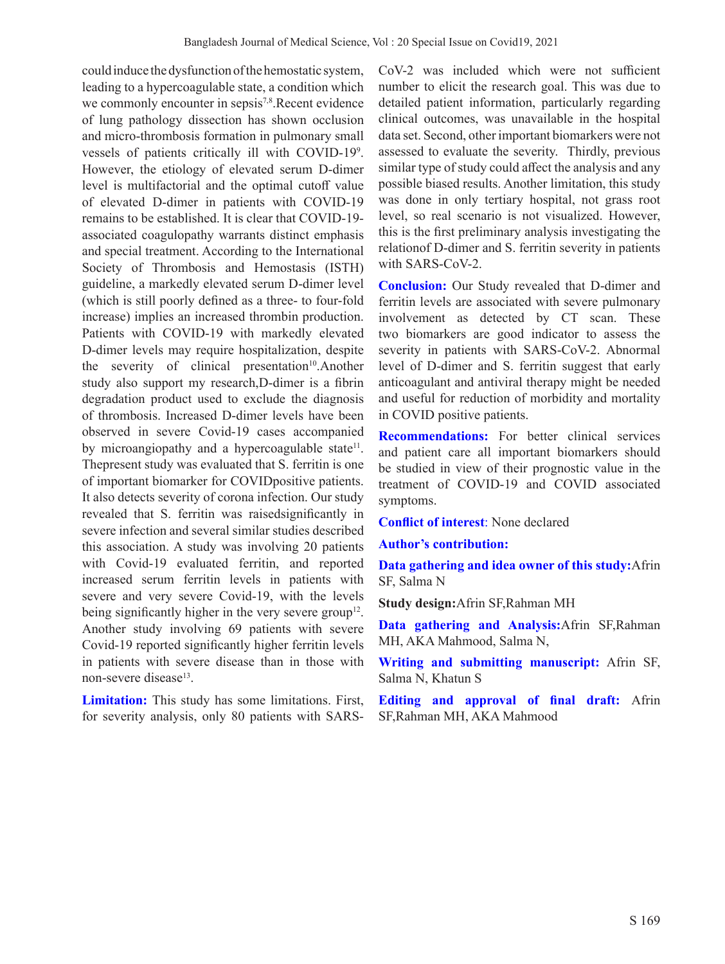could induce the dysfunction of the hemostatic system, leading to a hypercoagulable state, a condition which we commonly encounter in sepsis<sup>7,8</sup>.Recent evidence of lung pathology dissection has shown occlusion and micro-thrombosis formation in pulmonary small vessels of patients critically ill with COVID-199 . However, the etiology of elevated serum D-dimer level is multifactorial and the optimal cutoff value of elevated D-dimer in patients with COVID-19 remains to be established. It is clear that COVID-19 associated coagulopathy warrants distinct emphasis and special treatment. According to the International Society of Thrombosis and Hemostasis (ISTH) guideline, a markedly elevated serum D-dimer level (which is still poorly defined as a three- to four-fold increase) implies an increased thrombin production. Patients with COVID-19 with markedly elevated D-dimer levels may require hospitalization, despite the severity of clinical presentation<sup>10</sup>.Another study also support my research,D-dimer is a fibrin degradation product used to exclude the diagnosis of thrombosis. Increased D-dimer levels have been observed in severe Covid-19 cases accompanied by microangiopathy and a hypercoagulable state<sup>11</sup>. Thepresent study was evaluated that S. ferritin is one of important biomarker for COVIDpositive patients. It also detects severity of corona infection. Our study revealed that S. ferritin was raisedsignificantly in severe infection and several similar studies described this association. A study was involving 20 patients with Covid-19 evaluated ferritin, and reported increased serum ferritin levels in patients with severe and very severe Covid-19, with the levels being significantly higher in the very severe group<sup>12</sup>. Another study involving 69 patients with severe Covid-19 reported significantly higher ferritin levels in patients with severe disease than in those with non-severe disease<sup>13</sup>.

**Limitation:** This study has some limitations. First, for severity analysis, only 80 patients with SARS-

CoV-2 was included which were not sufficient number to elicit the research goal. This was due to detailed patient information, particularly regarding clinical outcomes, was unavailable in the hospital data set. Second, other important biomarkers were not assessed to evaluate the severity. Thirdly, previous similar type of study could affect the analysis and any possible biased results. Another limitation, this study was done in only tertiary hospital, not grass root level, so real scenario is not visualized. However, this is the first preliminary analysis investigating the relationof D-dimer and S. ferritin severity in patients with SARS-CoV-2.

**Conclusion:** Our Study revealed that D-dimer and ferritin levels are associated with severe pulmonary involvement as detected by CT scan. These two biomarkers are good indicator to assess the severity in patients with SARS-CoV-2. Abnormal level of D-dimer and S. ferritin suggest that early anticoagulant and antiviral therapy might be needed and useful for reduction of morbidity and mortality in COVID positive patients.

**Recommendations:** For better clinical services and patient care all important biomarkers should be studied in view of their prognostic value in the treatment of COVID-19 and COVID associated symptoms.

**Conflict of interest**: None declared

**Author's contribution:** 

**Data gathering and idea owner of this study:**Afrin SF, Salma N

**Study design:**Afrin SF,Rahman MH

**Data gathering and Analysis:**Afrin SF,Rahman MH, AKA Mahmood, Salma N,

**Writing and submitting manuscript:** Afrin SF, Salma N, Khatun S

**Editing and approval of final draft:** Afrin SF,Rahman MH, AKA Mahmood